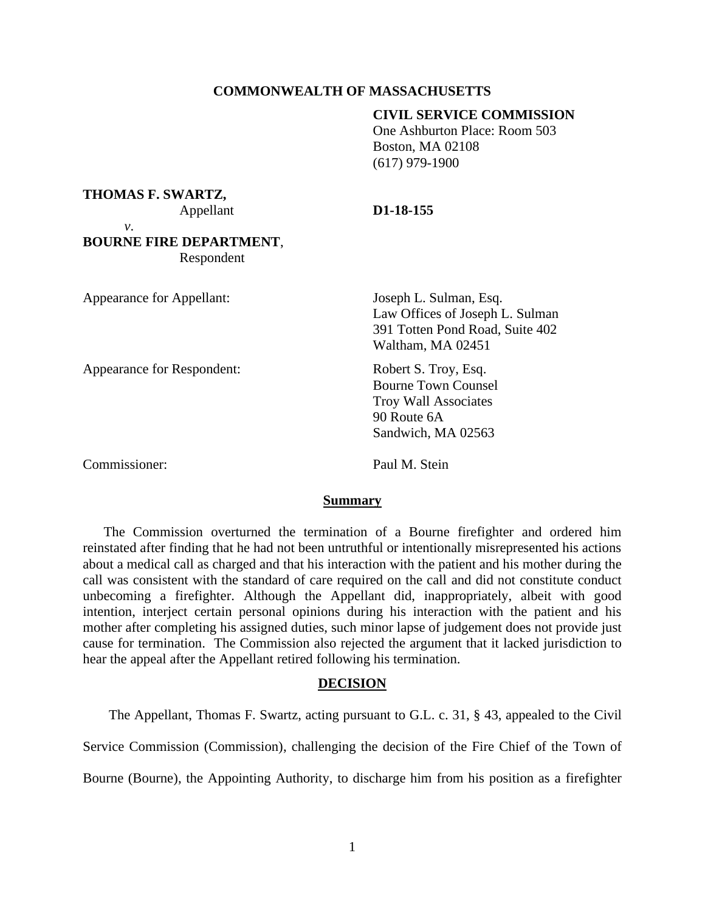## **COMMONWEALTH OF MASSACHUSETTS**

# **CIVIL SERVICE COMMISSION**

One Ashburton Place: Room 503 Boston, MA 02108 (617) 979-1900

#### **THOMAS F. SWARTZ,**

## Appellant **D1-18-155**

*v*.

# **BOURNE FIRE DEPARTMENT**, Respondent

| Appearance for Appellant:  | Joseph L. Sulman, Esq.<br>Law Offices of Joseph L. Sulman<br>391 Totten Pond Road, Suite 402<br>Waltham, MA 02451      |
|----------------------------|------------------------------------------------------------------------------------------------------------------------|
| Appearance for Respondent: | Robert S. Troy, Esq.<br><b>Bourne Town Counsel</b><br><b>Troy Wall Associates</b><br>90 Route 6A<br>Sandwich, MA 02563 |

Commissioner: Paul M. Stein

#### **Summary**

The Commission overturned the termination of a Bourne firefighter and ordered him reinstated after finding that he had not been untruthful or intentionally misrepresented his actions about a medical call as charged and that his interaction with the patient and his mother during the call was consistent with the standard of care required on the call and did not constitute conduct unbecoming a firefighter. Although the Appellant did, inappropriately, albeit with good intention, interject certain personal opinions during his interaction with the patient and his mother after completing his assigned duties, such minor lapse of judgement does not provide just cause for termination. The Commission also rejected the argument that it lacked jurisdiction to hear the appeal after the Appellant retired following his termination.

# **DECISION**

The Appellant, Thomas F. Swartz, acting pursuant to G.L. c. 31, § 43, appealed to the Civil

Service Commission (Commission), challenging the decision of the Fire Chief of the Town of

Bourne (Bourne), the Appointing Authority, to discharge him from his position as a firefighter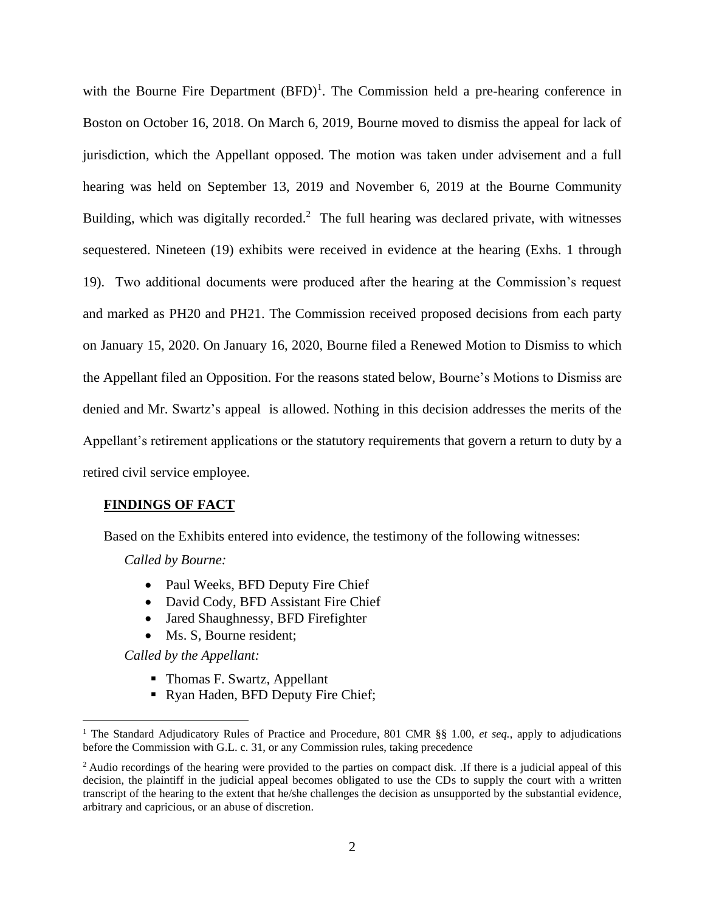with the Bourne Fire Department  $(BFD)^1$ . The Commission held a pre-hearing conference in Boston on October 16, 2018. On March 6, 2019, Bourne moved to dismiss the appeal for lack of jurisdiction, which the Appellant opposed. The motion was taken under advisement and a full hearing was held on September 13, 2019 and November 6, 2019 at the Bourne Community Building, which was digitally recorded.<sup>2</sup> The full hearing was declared private, with witnesses sequestered. Nineteen (19) exhibits were received in evidence at the hearing (Exhs. 1 through 19). Two additional documents were produced after the hearing at the Commission's request and marked as PH20 and PH21. The Commission received proposed decisions from each party on January 15, 2020. On January 16, 2020, Bourne filed a Renewed Motion to Dismiss to which the Appellant filed an Opposition. For the reasons stated below, Bourne's Motions to Dismiss are denied and Mr. Swartz's appeal is allowed. Nothing in this decision addresses the merits of the Appellant's retirement applications or the statutory requirements that govern a return to duty by a retired civil service employee.

## **FINDINGS OF FACT**

Based on the Exhibits entered into evidence, the testimony of the following witnesses:

*Called by Bourne:*

- Paul Weeks, BFD Deputy Fire Chief
- David Cody, BFD Assistant Fire Chief
- Jared Shaughnessy, BFD Firefighter
- Ms. S. Bourne resident:

*Called by the Appellant:*

- Thomas F. Swartz, Appellant
- Ryan Haden, BFD Deputy Fire Chief;

<sup>&</sup>lt;sup>1</sup> The Standard Adjudicatory Rules of Practice and Procedure, 801 CMR §§ 1.00, et seq., apply to adjudications before the Commission with G.L. c. 31, or any Commission rules, taking precedence

<sup>&</sup>lt;sup>2</sup> Audio recordings of the hearing were provided to the parties on compact disk. If there is a judicial appeal of this decision, the plaintiff in the judicial appeal becomes obligated to use the CDs to supply the court with a written transcript of the hearing to the extent that he/she challenges the decision as unsupported by the substantial evidence, arbitrary and capricious, or an abuse of discretion.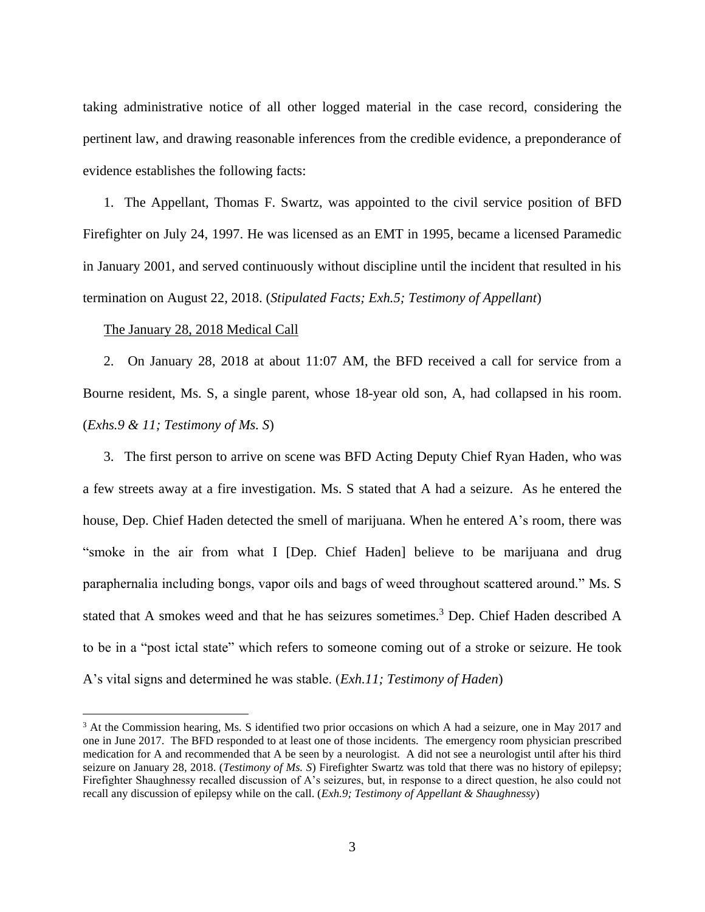taking administrative notice of all other logged material in the case record, considering the pertinent law, and drawing reasonable inferences from the credible evidence, a preponderance of evidence establishes the following facts:

1. The Appellant, Thomas F. Swartz, was appointed to the civil service position of BFD Firefighter on July 24, 1997. He was licensed as an EMT in 1995, became a licensed Paramedic in January 2001, and served continuously without discipline until the incident that resulted in his termination on August 22, 2018. (*Stipulated Facts; Exh.5; Testimony of Appellant*)

## The January 28, 2018 Medical Call

2. On January 28, 2018 at about 11:07 AM, the BFD received a call for service from a Bourne resident, Ms. S, a single parent, whose 18-year old son, A, had collapsed in his room. (*Exhs.9 & 11; Testimony of Ms. S*)

3. The first person to arrive on scene was BFD Acting Deputy Chief Ryan Haden, who was a few streets away at a fire investigation. Ms. S stated that A had a seizure. As he entered the house, Dep. Chief Haden detected the smell of marijuana. When he entered A's room, there was "smoke in the air from what I [Dep. Chief Haden] believe to be marijuana and drug paraphernalia including bongs, vapor oils and bags of weed throughout scattered around." Ms. S stated that A smokes weed and that he has seizures sometimes.<sup>3</sup> Dep. Chief Haden described A to be in a "post ictal state" which refers to someone coming out of a stroke or seizure. He took A's vital signs and determined he was stable. (*Exh.11; Testimony of Haden*)

<sup>&</sup>lt;sup>3</sup> At the Commission hearing, Ms. S identified two prior occasions on which A had a seizure, one in May 2017 and one in June 2017. The BFD responded to at least one of those incidents. The emergency room physician prescribed medication for A and recommended that A be seen by a neurologist. A did not see a neurologist until after his third seizure on January 28, 2018. (*Testimony of Ms. S*) Firefighter Swartz was told that there was no history of epilepsy; Firefighter Shaughnessy recalled discussion of A's seizures, but, in response to a direct question, he also could not recall any discussion of epilepsy while on the call. (*Exh.9; Testimony of Appellant & Shaughnessy*)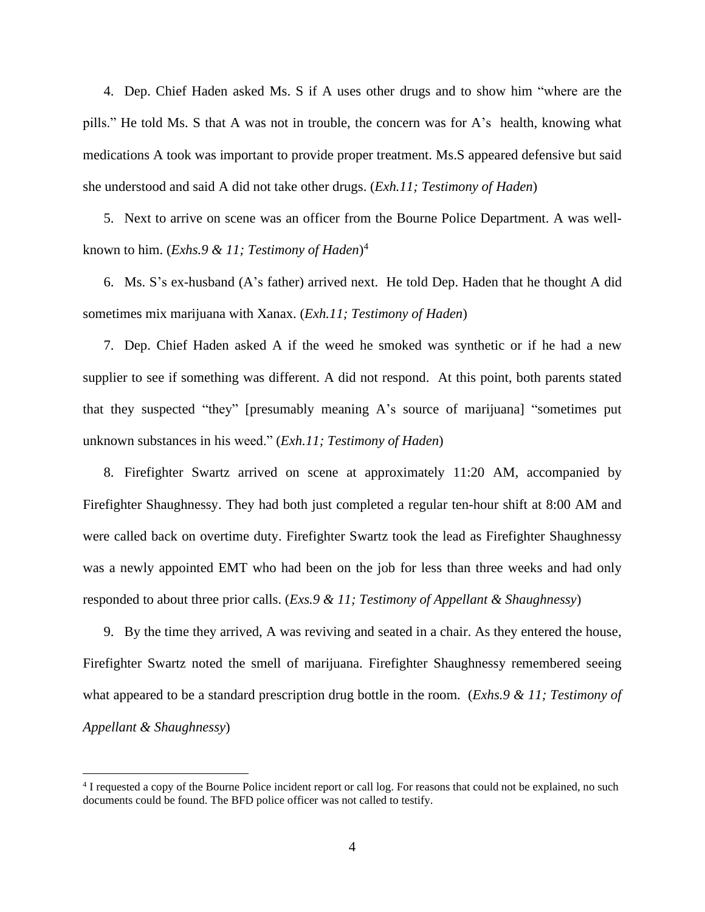4. Dep. Chief Haden asked Ms. S if A uses other drugs and to show him "where are the pills." He told Ms. S that A was not in trouble, the concern was for A's health, knowing what medications A took was important to provide proper treatment. Ms.S appeared defensive but said she understood and said A did not take other drugs. (*Exh.11; Testimony of Haden*)

5. Next to arrive on scene was an officer from the Bourne Police Department. A was wellknown to him. (*Exhs.9 & 11; Testimony of Haden*) 4

6. Ms. S's ex-husband (A's father) arrived next. He told Dep. Haden that he thought A did sometimes mix marijuana with Xanax. (*Exh.11; Testimony of Haden*)

7. Dep. Chief Haden asked A if the weed he smoked was synthetic or if he had a new supplier to see if something was different. A did not respond. At this point, both parents stated that they suspected "they" [presumably meaning A's source of marijuana] "sometimes put unknown substances in his weed." (*Exh.11; Testimony of Haden*)

8. Firefighter Swartz arrived on scene at approximately 11:20 AM, accompanied by Firefighter Shaughnessy. They had both just completed a regular ten-hour shift at 8:00 AM and were called back on overtime duty. Firefighter Swartz took the lead as Firefighter Shaughnessy was a newly appointed EMT who had been on the job for less than three weeks and had only responded to about three prior calls. (*Exs.9 & 11; Testimony of Appellant & Shaughnessy*)

9. By the time they arrived, A was reviving and seated in a chair. As they entered the house, Firefighter Swartz noted the smell of marijuana. Firefighter Shaughnessy remembered seeing what appeared to be a standard prescription drug bottle in the room. (*Exhs.9 & 11; Testimony of Appellant & Shaughnessy*)

<sup>&</sup>lt;sup>4</sup> I requested a copy of the Bourne Police incident report or call log. For reasons that could not be explained, no such documents could be found. The BFD police officer was not called to testify.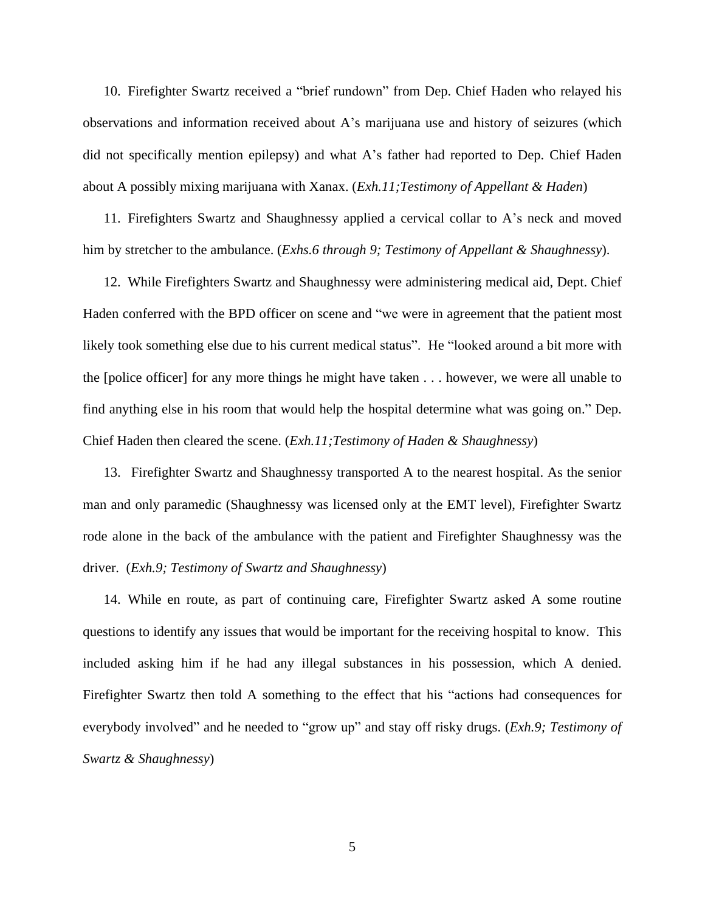10. Firefighter Swartz received a "brief rundown" from Dep. Chief Haden who relayed his observations and information received about A's marijuana use and history of seizures (which did not specifically mention epilepsy) and what A's father had reported to Dep. Chief Haden about A possibly mixing marijuana with Xanax. (*Exh.11;Testimony of Appellant & Haden*)

11. Firefighters Swartz and Shaughnessy applied a cervical collar to A's neck and moved him by stretcher to the ambulance. (*Exhs.6 through 9; Testimony of Appellant & Shaughnessy*).

12. While Firefighters Swartz and Shaughnessy were administering medical aid, Dept. Chief Haden conferred with the BPD officer on scene and "we were in agreement that the patient most likely took something else due to his current medical status". He "looked around a bit more with the [police officer] for any more things he might have taken . . . however, we were all unable to find anything else in his room that would help the hospital determine what was going on." Dep. Chief Haden then cleared the scene. (*Exh.11;Testimony of Haden & Shaughnessy*)

13. Firefighter Swartz and Shaughnessy transported A to the nearest hospital. As the senior man and only paramedic (Shaughnessy was licensed only at the EMT level), Firefighter Swartz rode alone in the back of the ambulance with the patient and Firefighter Shaughnessy was the driver. (*Exh.9; Testimony of Swartz and Shaughnessy*)

14. While en route, as part of continuing care, Firefighter Swartz asked A some routine questions to identify any issues that would be important for the receiving hospital to know. This included asking him if he had any illegal substances in his possession, which A denied. Firefighter Swartz then told A something to the effect that his "actions had consequences for everybody involved" and he needed to "grow up" and stay off risky drugs. (*Exh.9; Testimony of Swartz & Shaughnessy*)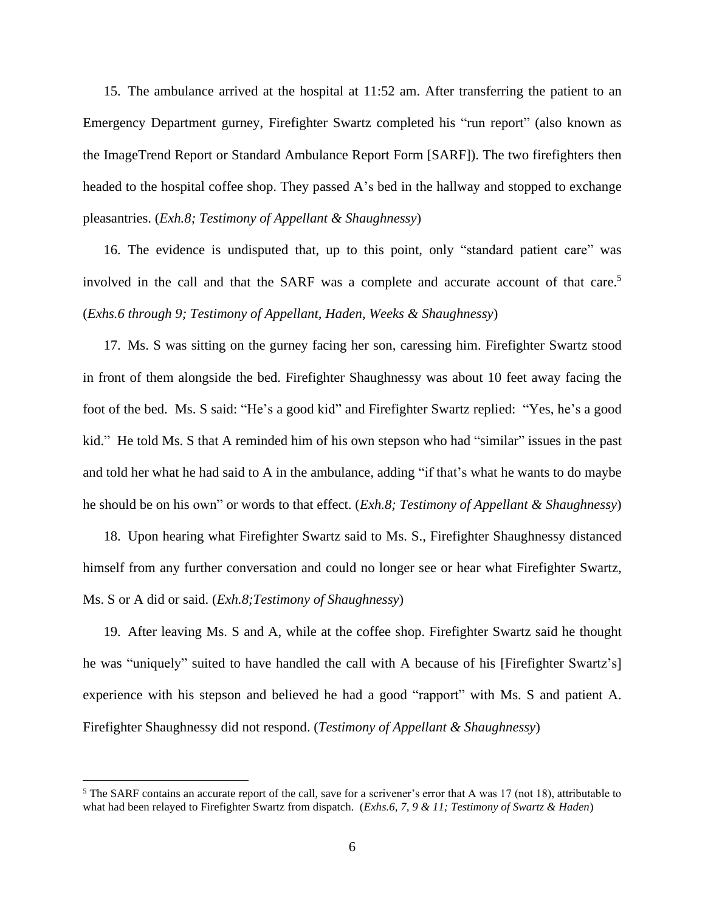15. The ambulance arrived at the hospital at 11:52 am. After transferring the patient to an Emergency Department gurney, Firefighter Swartz completed his "run report" (also known as the ImageTrend Report or Standard Ambulance Report Form [SARF]). The two firefighters then headed to the hospital coffee shop. They passed A's bed in the hallway and stopped to exchange pleasantries. (*Exh.8; Testimony of Appellant & Shaughnessy*)

16. The evidence is undisputed that, up to this point, only "standard patient care" was involved in the call and that the SARF was a complete and accurate account of that care. 5 (*Exhs.6 through 9; Testimony of Appellant, Haden, Weeks & Shaughnessy*)

17. Ms. S was sitting on the gurney facing her son, caressing him. Firefighter Swartz stood in front of them alongside the bed. Firefighter Shaughnessy was about 10 feet away facing the foot of the bed. Ms. S said: "He's a good kid" and Firefighter Swartz replied: "Yes, he's a good kid." He told Ms. S that A reminded him of his own stepson who had "similar" issues in the past and told her what he had said to A in the ambulance, adding "if that's what he wants to do maybe he should be on his own" or words to that effect. (*Exh.8; Testimony of Appellant & Shaughnessy*)

18. Upon hearing what Firefighter Swartz said to Ms. S., Firefighter Shaughnessy distanced himself from any further conversation and could no longer see or hear what Firefighter Swartz, Ms. S or A did or said. (*Exh.8;Testimony of Shaughnessy*)

19. After leaving Ms. S and A, while at the coffee shop. Firefighter Swartz said he thought he was "uniquely" suited to have handled the call with A because of his [Firefighter Swartz's] experience with his stepson and believed he had a good "rapport" with Ms. S and patient A. Firefighter Shaughnessy did not respond. (*Testimony of Appellant & Shaughnessy*)

<sup>&</sup>lt;sup>5</sup> The SARF contains an accurate report of the call, save for a scrivener's error that A was 17 (not 18), attributable to what had been relayed to Firefighter Swartz from dispatch. (*Exhs.6, 7, 9 & 11; Testimony of Swartz & Haden*)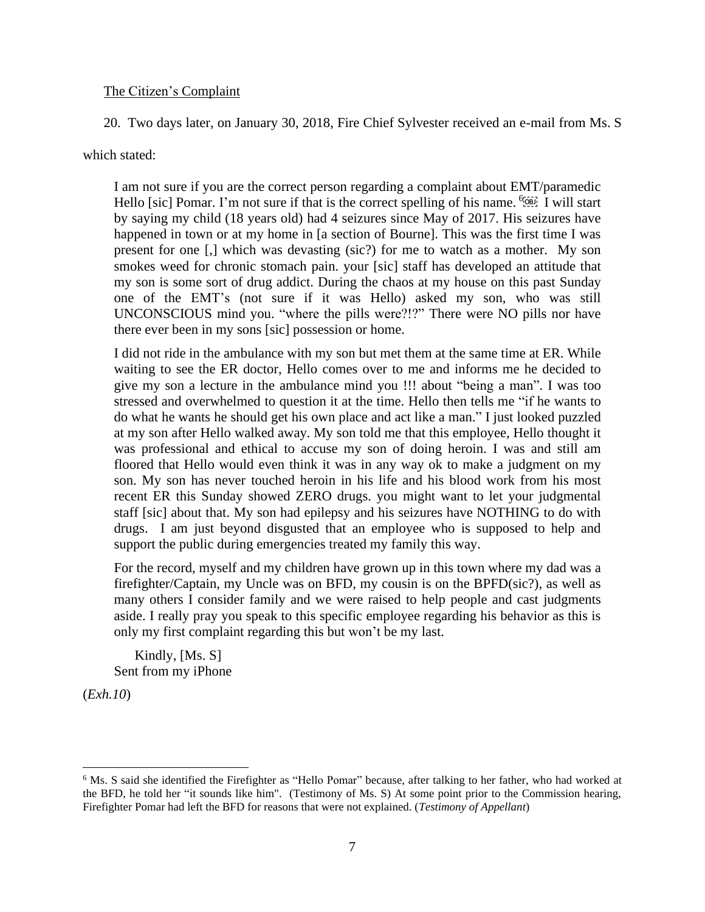# The Citizen's Complaint

20. Two days later, on January 30, 2018, Fire Chief Sylvester received an e-mail from Ms. S

which stated:

I am not sure if you are the correct person regarding a complaint about EMT/paramedic Hello [sic] Pomar. I'm not sure if that is the correct spelling of his name.  $\frac{67687}{121}$  I will start by saying my child (18 years old) had 4 seizures since May of 2017. His seizures have happened in town or at my home in [a section of Bourne]. This was the first time I was present for one [,] which was devasting (sic?) for me to watch as a mother. My son smokes weed for chronic stomach pain. your [sic] staff has developed an attitude that my son is some sort of drug addict. During the chaos at my house on this past Sunday one of the EMT's (not sure if it was Hello) asked my son, who was still UNCONSCIOUS mind you. "where the pills were?!?" There were NO pills nor have there ever been in my sons [sic] possession or home.

I did not ride in the ambulance with my son but met them at the same time at ER. While waiting to see the ER doctor, Hello comes over to me and informs me he decided to give my son a lecture in the ambulance mind you !!! about "being a man". I was too stressed and overwhelmed to question it at the time. Hello then tells me "if he wants to do what he wants he should get his own place and act like a man." I just looked puzzled at my son after Hello walked away. My son told me that this employee, Hello thought it was professional and ethical to accuse my son of doing heroin. I was and still am floored that Hello would even think it was in any way ok to make a judgment on my son. My son has never touched heroin in his life and his blood work from his most recent ER this Sunday showed ZERO drugs. you might want to let your judgmental staff [sic] about that. My son had epilepsy and his seizures have NOTHING to do with drugs. I am just beyond disgusted that an employee who is supposed to help and support the public during emergencies treated my family this way.

For the record, myself and my children have grown up in this town where my dad was a firefighter/Captain, my Uncle was on BFD, my cousin is on the BPFD(sic?), as well as many others I consider family and we were raised to help people and cast judgments aside. I really pray you speak to this specific employee regarding his behavior as this is only my first complaint regarding this but won't be my last.

 Kindly, [Ms. S] Sent from my iPhone

(*Exh.10*)

<sup>6</sup> Ms. S said she identified the Firefighter as "Hello Pomar" because, after talking to her father, who had worked at the BFD, he told her "it sounds like him". (Testimony of Ms. S) At some point prior to the Commission hearing, Firefighter Pomar had left the BFD for reasons that were not explained. (*Testimony of Appellant*)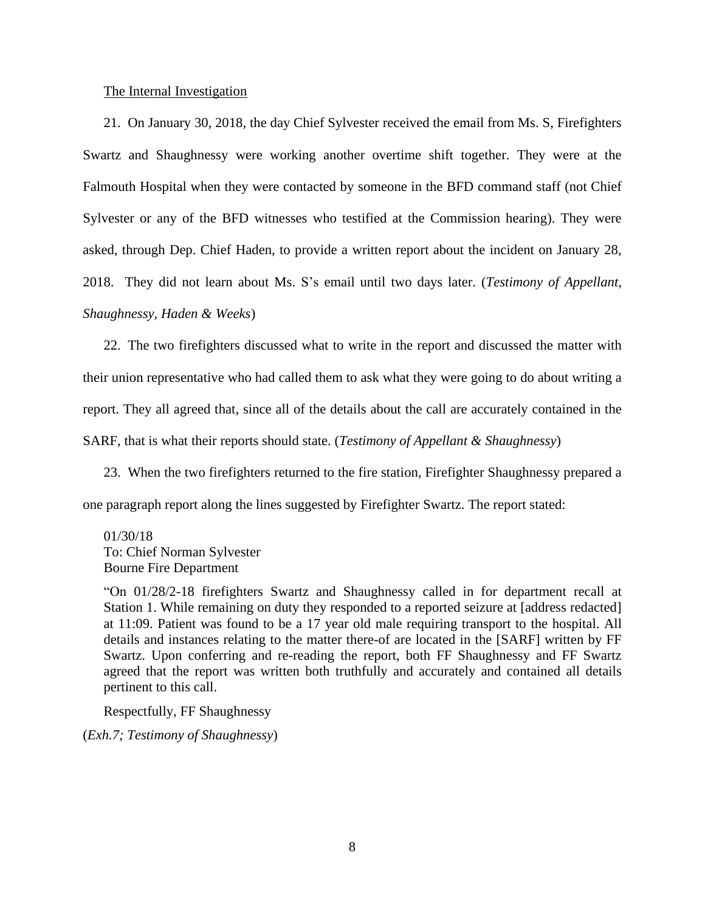## The Internal Investigation

21. On January 30, 2018, the day Chief Sylvester received the email from Ms. S, Firefighters Swartz and Shaughnessy were working another overtime shift together. They were at the Falmouth Hospital when they were contacted by someone in the BFD command staff (not Chief Sylvester or any of the BFD witnesses who testified at the Commission hearing). They were asked, through Dep. Chief Haden, to provide a written report about the incident on January 28, 2018. They did not learn about Ms. S's email until two days later. (*Testimony of Appellant, Shaughnessy, Haden & Weeks*)

22. The two firefighters discussed what to write in the report and discussed the matter with their union representative who had called them to ask what they were going to do about writing a report. They all agreed that, since all of the details about the call are accurately contained in the SARF, that is what their reports should state. (*Testimony of Appellant & Shaughnessy*)

23. When the two firefighters returned to the fire station, Firefighter Shaughnessy prepared a one paragraph report along the lines suggested by Firefighter Swartz. The report stated:

01/30/18 To: Chief Norman Sylvester Bourne Fire Department

"On 01/28/2-18 firefighters Swartz and Shaughnessy called in for department recall at Station 1. While remaining on duty they responded to a reported seizure at [address redacted] at 11:09. Patient was found to be a 17 year old male requiring transport to the hospital. All details and instances relating to the matter there-of are located in the [SARF] written by FF Swartz. Upon conferring and re-reading the report, both FF Shaughnessy and FF Swartz agreed that the report was written both truthfully and accurately and contained all details pertinent to this call.

Respectfully, FF Shaughnessy

(*Exh.7; Testimony of Shaughnessy*)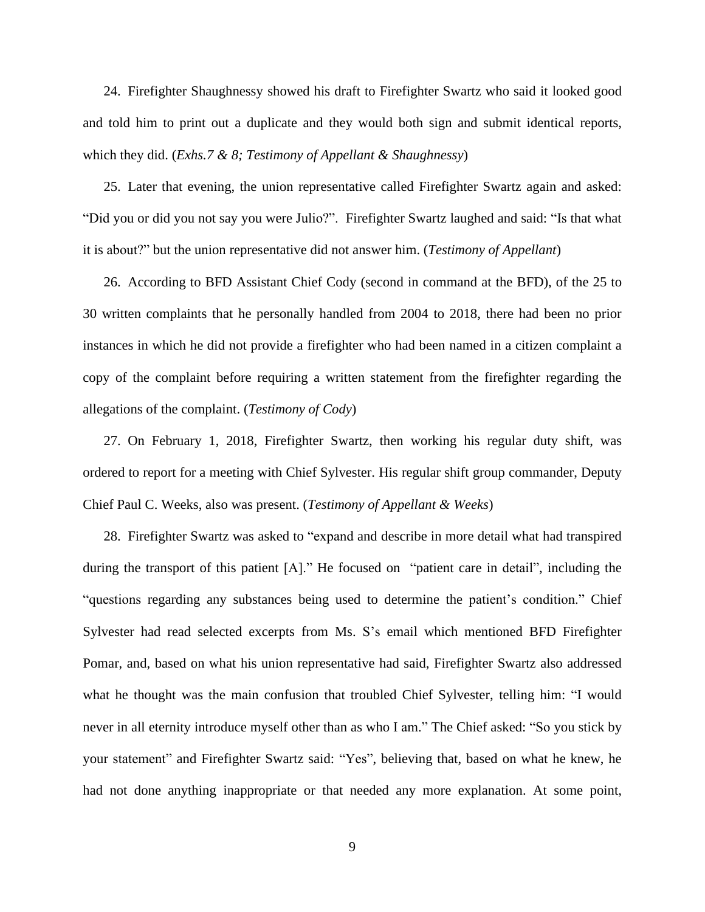24. Firefighter Shaughnessy showed his draft to Firefighter Swartz who said it looked good and told him to print out a duplicate and they would both sign and submit identical reports, which they did. (*Exhs.7 & 8; Testimony of Appellant & Shaughnessy*)

25. Later that evening, the union representative called Firefighter Swartz again and asked: "Did you or did you not say you were Julio?". Firefighter Swartz laughed and said: "Is that what it is about?" but the union representative did not answer him. (*Testimony of Appellant*)

26. According to BFD Assistant Chief Cody (second in command at the BFD), of the 25 to 30 written complaints that he personally handled from 2004 to 2018, there had been no prior instances in which he did not provide a firefighter who had been named in a citizen complaint a copy of the complaint before requiring a written statement from the firefighter regarding the allegations of the complaint. (*Testimony of Cody*)

27. On February 1, 2018, Firefighter Swartz, then working his regular duty shift, was ordered to report for a meeting with Chief Sylvester. His regular shift group commander, Deputy Chief Paul C. Weeks, also was present. (*Testimony of Appellant & Weeks*)

28. Firefighter Swartz was asked to "expand and describe in more detail what had transpired during the transport of this patient [A]." He focused on "patient care in detail", including the "questions regarding any substances being used to determine the patient's condition." Chief Sylvester had read selected excerpts from Ms. S's email which mentioned BFD Firefighter Pomar, and, based on what his union representative had said, Firefighter Swartz also addressed what he thought was the main confusion that troubled Chief Sylvester, telling him: "I would never in all eternity introduce myself other than as who I am." The Chief asked: "So you stick by your statement" and Firefighter Swartz said: "Yes", believing that, based on what he knew, he had not done anything inappropriate or that needed any more explanation. At some point,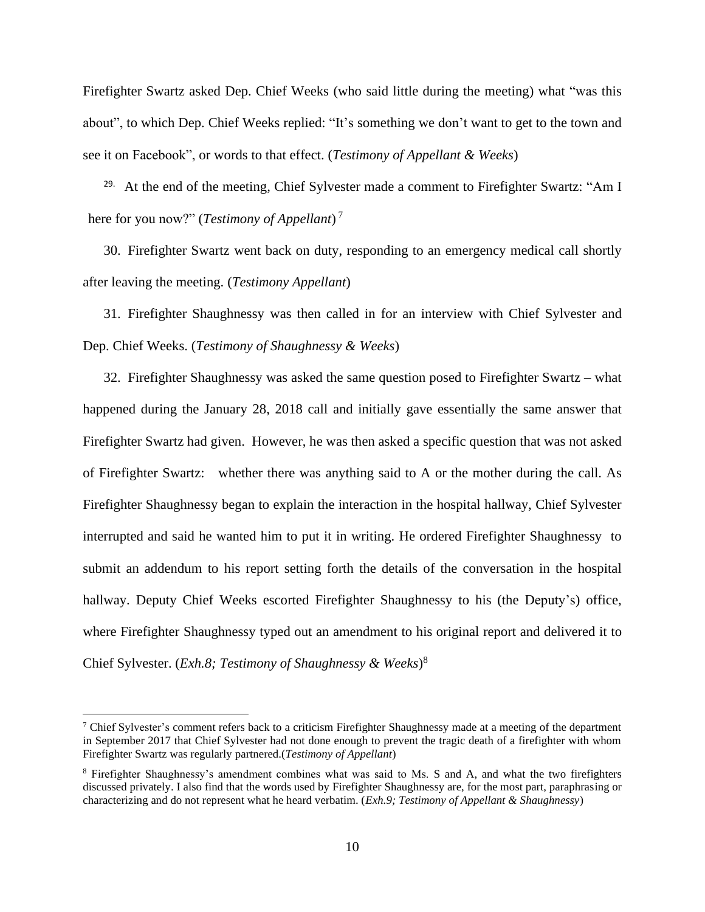Firefighter Swartz asked Dep. Chief Weeks (who said little during the meeting) what "was this about", to which Dep. Chief Weeks replied: "It's something we don't want to get to the town and see it on Facebook", or words to that effect. (*Testimony of Appellant & Weeks*)

<sup>29.</sup> At the end of the meeting, Chief Sylvester made a comment to Firefighter Swartz: "Am I here for you now?" (*Testimony of Appellant*) 7

30. Firefighter Swartz went back on duty, responding to an emergency medical call shortly after leaving the meeting. (*Testimony Appellant*)

31. Firefighter Shaughnessy was then called in for an interview with Chief Sylvester and Dep. Chief Weeks. (*Testimony of Shaughnessy & Weeks*)

32. Firefighter Shaughnessy was asked the same question posed to Firefighter Swartz – what happened during the January 28, 2018 call and initially gave essentially the same answer that Firefighter Swartz had given. However, he was then asked a specific question that was not asked of Firefighter Swartz: whether there was anything said to A or the mother during the call. As Firefighter Shaughnessy began to explain the interaction in the hospital hallway, Chief Sylvester interrupted and said he wanted him to put it in writing. He ordered Firefighter Shaughnessy to submit an addendum to his report setting forth the details of the conversation in the hospital hallway. Deputy Chief Weeks escorted Firefighter Shaughnessy to his (the Deputy's) office, where Firefighter Shaughnessy typed out an amendment to his original report and delivered it to Chief Sylvester. (*Exh.8; Testimony of Shaughnessy & Weeks*) 8

 $7$  Chief Sylvester's comment refers back to a criticism Firefighter Shaughnessy made at a meeting of the department in September 2017 that Chief Sylvester had not done enough to prevent the tragic death of a firefighter with whom Firefighter Swartz was regularly partnered.(*Testimony of Appellant*)

<sup>8</sup> Firefighter Shaughnessy's amendment combines what was said to Ms. S and A, and what the two firefighters discussed privately. I also find that the words used by Firefighter Shaughnessy are, for the most part, paraphrasing or characterizing and do not represent what he heard verbatim. (*Exh.9; Testimony of Appellant & Shaughnessy*)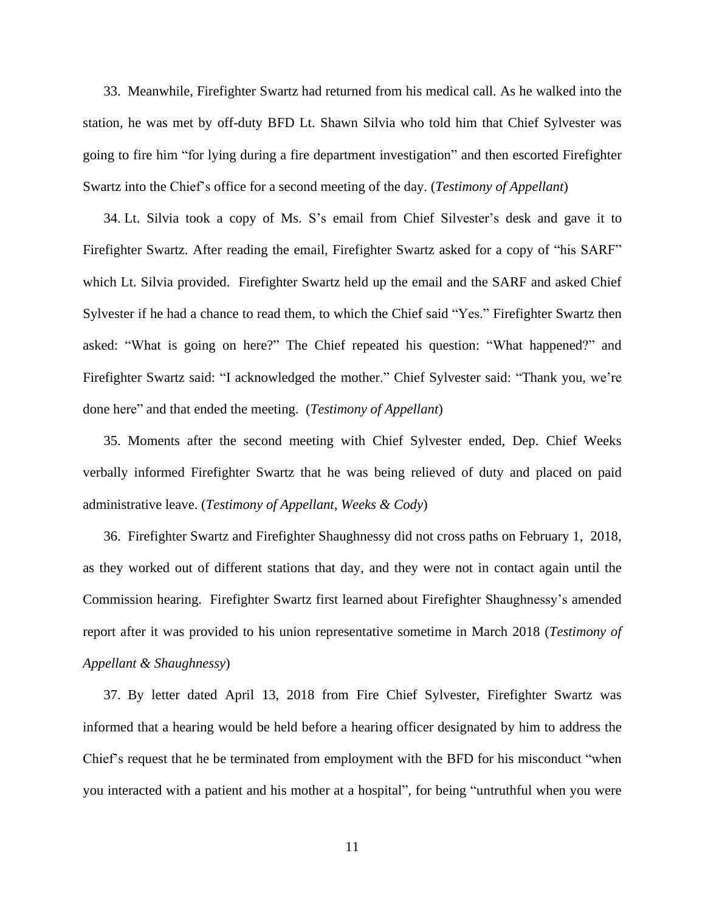33. Meanwhile, Firefighter Swartz had returned from his medical call. As he walked into the station, he was met by off-duty BFD Lt. Shawn Silvia who told him that Chief Sylvester was going to fire him "for lying during a fire department investigation" and then escorted Firefighter Swartz into the Chief's office for a second meeting of the day. (*Testimony of Appellant*)

34. Lt. Silvia took a copy of Ms. S's email from Chief Silvester's desk and gave it to Firefighter Swartz. After reading the email, Firefighter Swartz asked for a copy of "his SARF" which Lt. Silvia provided. Firefighter Swartz held up the email and the SARF and asked Chief Sylvester if he had a chance to read them, to which the Chief said "Yes." Firefighter Swartz then asked: "What is going on here?" The Chief repeated his question: "What happened?" and Firefighter Swartz said: "I acknowledged the mother." Chief Sylvester said: "Thank you, we're done here" and that ended the meeting. (*Testimony of Appellant*)

35. Moments after the second meeting with Chief Sylvester ended, Dep. Chief Weeks verbally informed Firefighter Swartz that he was being relieved of duty and placed on paid administrative leave. (*Testimony of Appellant, Weeks & Cody*)

36. Firefighter Swartz and Firefighter Shaughnessy did not cross paths on February 1, 2018, as they worked out of different stations that day, and they were not in contact again until the Commission hearing. Firefighter Swartz first learned about Firefighter Shaughnessy's amended report after it was provided to his union representative sometime in March 2018 (*Testimony of Appellant & Shaughnessy*)

37. By letter dated April 13, 2018 from Fire Chief Sylvester, Firefighter Swartz was informed that a hearing would be held before a hearing officer designated by him to address the Chief's request that he be terminated from employment with the BFD for his misconduct "when you interacted with a patient and his mother at a hospital", for being "untruthful when you were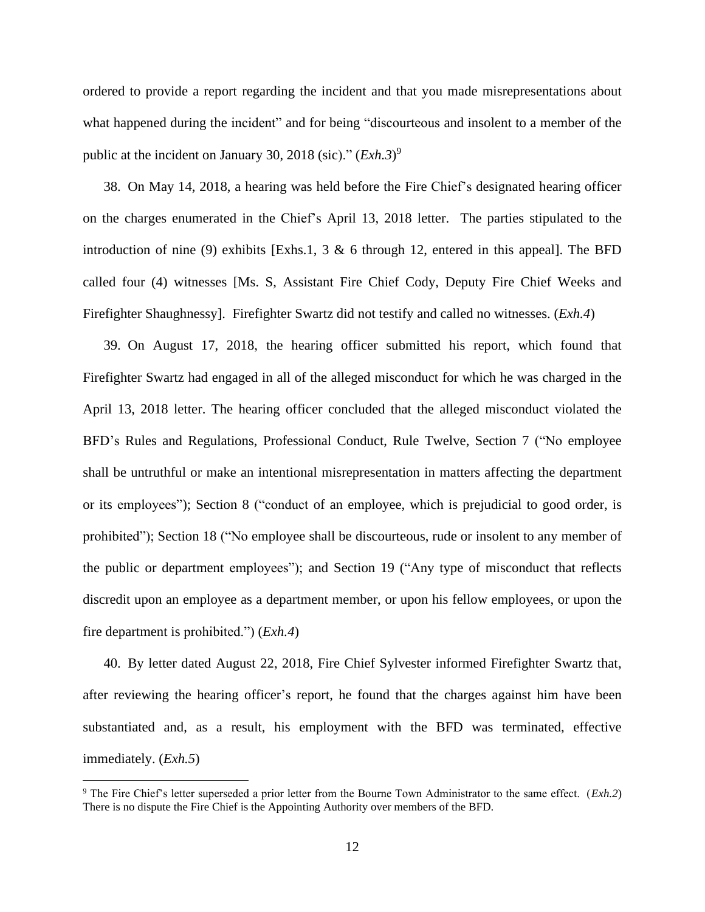ordered to provide a report regarding the incident and that you made misrepresentations about what happened during the incident" and for being "discourteous and insolent to a member of the public at the incident on January 30, 2018 (sic)." (*Exh.3*)<sup>9</sup>

38. On May 14, 2018, a hearing was held before the Fire Chief's designated hearing officer on the charges enumerated in the Chief's April 13, 2018 letter. The parties stipulated to the introduction of nine (9) exhibits [Exhs.1, 3  $\&$  6 through 12, entered in this appeal]. The BFD called four (4) witnesses [Ms. S, Assistant Fire Chief Cody, Deputy Fire Chief Weeks and Firefighter Shaughnessy]. Firefighter Swartz did not testify and called no witnesses. (*Exh.4*)

39. On August 17, 2018, the hearing officer submitted his report, which found that Firefighter Swartz had engaged in all of the alleged misconduct for which he was charged in the April 13, 2018 letter. The hearing officer concluded that the alleged misconduct violated the BFD's Rules and Regulations, Professional Conduct, Rule Twelve, Section 7 ("No employee shall be untruthful or make an intentional misrepresentation in matters affecting the department or its employees"); Section 8 ("conduct of an employee, which is prejudicial to good order, is prohibited"); Section 18 ("No employee shall be discourteous, rude or insolent to any member of the public or department employees"); and Section 19 ("Any type of misconduct that reflects discredit upon an employee as a department member, or upon his fellow employees, or upon the fire department is prohibited.") (*Exh.4*)

40. By letter dated August 22, 2018, Fire Chief Sylvester informed Firefighter Swartz that, after reviewing the hearing officer's report, he found that the charges against him have been substantiated and, as a result, his employment with the BFD was terminated, effective immediately. (*Exh.5*)

<sup>9</sup> The Fire Chief's letter superseded a prior letter from the Bourne Town Administrator to the same effect. (*Exh.2*) There is no dispute the Fire Chief is the Appointing Authority over members of the BFD.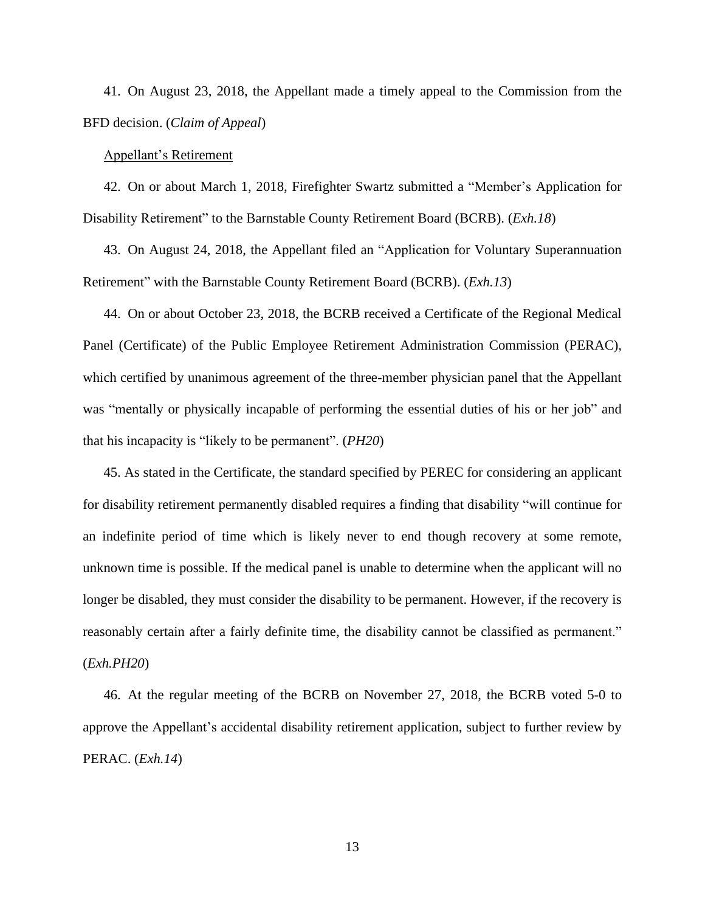41. On August 23, 2018, the Appellant made a timely appeal to the Commission from the BFD decision. (*Claim of Appeal*)

#### Appellant's Retirement

42. On or about March 1, 2018, Firefighter Swartz submitted a "Member's Application for Disability Retirement" to the Barnstable County Retirement Board (BCRB). (*Exh.18*)

43. On August 24, 2018, the Appellant filed an "Application for Voluntary Superannuation Retirement" with the Barnstable County Retirement Board (BCRB). (*Exh.13*)

44. On or about October 23, 2018, the BCRB received a Certificate of the Regional Medical Panel (Certificate) of the Public Employee Retirement Administration Commission (PERAC), which certified by unanimous agreement of the three-member physician panel that the Appellant was "mentally or physically incapable of performing the essential duties of his or her job" and that his incapacity is "likely to be permanent". (*PH20*)

45. As stated in the Certificate, the standard specified by PEREC for considering an applicant for disability retirement permanently disabled requires a finding that disability "will continue for an indefinite period of time which is likely never to end though recovery at some remote, unknown time is possible. If the medical panel is unable to determine when the applicant will no longer be disabled, they must consider the disability to be permanent. However, if the recovery is reasonably certain after a fairly definite time, the disability cannot be classified as permanent." (*Exh.PH20*)

46. At the regular meeting of the BCRB on November 27, 2018, the BCRB voted 5-0 to approve the Appellant's accidental disability retirement application, subject to further review by PERAC. (*Exh.14*)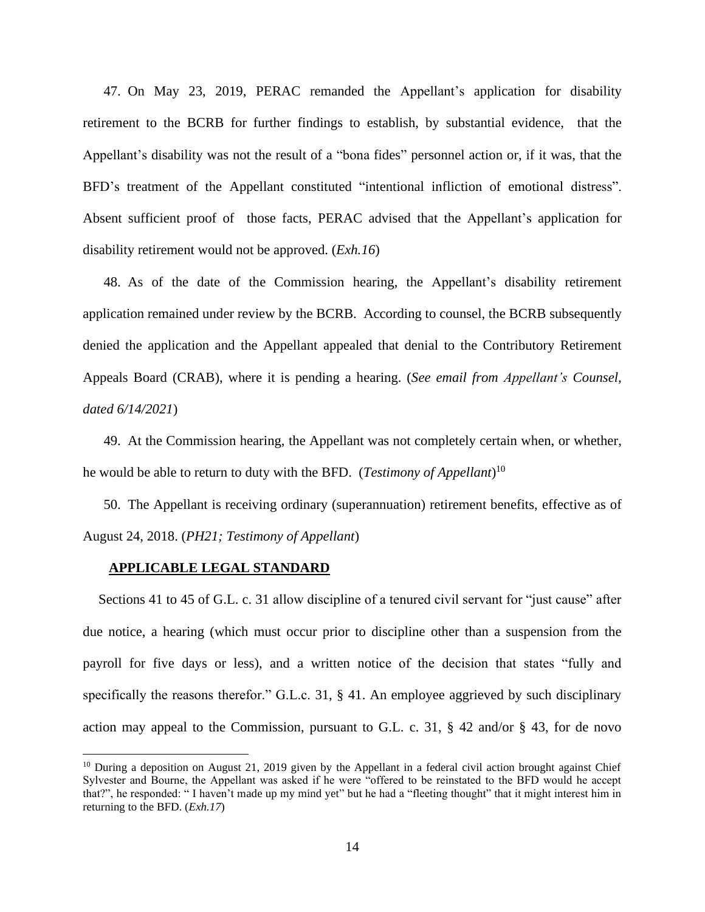47. On May 23, 2019, PERAC remanded the Appellant's application for disability retirement to the BCRB for further findings to establish, by substantial evidence, that the Appellant's disability was not the result of a "bona fides" personnel action or, if it was, that the BFD's treatment of the Appellant constituted "intentional infliction of emotional distress". Absent sufficient proof of those facts, PERAC advised that the Appellant's application for disability retirement would not be approved. (*Exh.16*)

48. As of the date of the Commission hearing, the Appellant's disability retirement application remained under review by the BCRB. According to counsel, the BCRB subsequently denied the application and the Appellant appealed that denial to the Contributory Retirement Appeals Board (CRAB), where it is pending a hearing. (*See email from Appellant's Counsel, dated 6/14/2021*)

49. At the Commission hearing, the Appellant was not completely certain when, or whether, he would be able to return to duty with the BFD. (*Testimony of Appellant*) 10

50. The Appellant is receiving ordinary (superannuation) retirement benefits, effective as of August 24, 2018. (*PH21; Testimony of Appellant*)

#### **APPLICABLE LEGAL STANDARD**

Sections 41 to 45 of G.L. c. 31 allow discipline of a tenured civil servant for "just cause" after due notice, a hearing (which must occur prior to discipline other than a suspension from the payroll for five days or less), and a written notice of the decision that states "fully and specifically the reasons therefor." G.L.c. 31, § 41. An employee aggrieved by such disciplinary action may appeal to the Commission, pursuant to G.L. c. 31,  $\S$  42 and/or  $\S$  43, for de novo

<sup>&</sup>lt;sup>10</sup> During a deposition on August 21, 2019 given by the Appellant in a federal civil action brought against Chief Sylvester and Bourne, the Appellant was asked if he were "offered to be reinstated to the BFD would he accept that?", he responded: " I haven't made up my mind yet" but he had a "fleeting thought" that it might interest him in returning to the BFD. (*Exh.17*)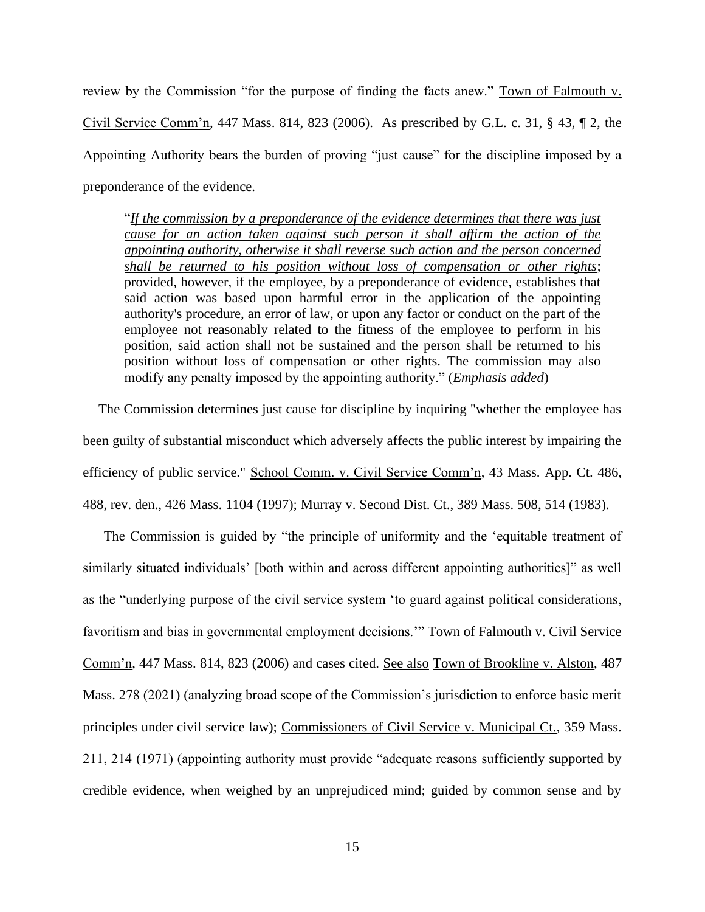review by the Commission "for the purpose of finding the facts anew." Town of Falmouth v. Civil Service Comm'n, 447 Mass. 814, 823 (2006). As prescribed by G.L. c. 31, § 43, ¶ 2, the Appointing Authority bears the burden of proving "just cause" for the discipline imposed by a preponderance of the evidence.

"*If the commission by a preponderance of the evidence determines that there was just cause for an action taken against such person it shall affirm the action of the appointing authority, otherwise it shall reverse such action and the person concerned shall be returned to his position without loss of compensation or other rights*; provided, however, if the employee, by a preponderance of evidence, establishes that said action was based upon harmful error in the application of the appointing authority's procedure, an error of law, or upon any factor or conduct on the part of the employee not reasonably related to the fitness of the employee to perform in his position, said action shall not be sustained and the person shall be returned to his position without loss of compensation or other rights. The commission may also modify any penalty imposed by the appointing authority." (*Emphasis added*)

The Commission determines just cause for discipline by inquiring "whether the employee has been guilty of substantial misconduct which adversely affects the public interest by impairing the efficiency of public service." School Comm. v. Civil Service Comm'n, 43 Mass. App. Ct. 486, 488, rev. den., 426 Mass. 1104 (1997); Murray v. Second Dist. Ct., 389 Mass. 508, 514 (1983).

The Commission is guided by "the principle of uniformity and the 'equitable treatment of similarly situated individuals' [both within and across different appointing authorities]" as well as the "underlying purpose of the civil service system 'to guard against political considerations, favoritism and bias in governmental employment decisions.'" Town of Falmouth v. Civil Service Comm'n, 447 Mass. 814, 823 (2006) and cases cited. See also Town of Brookline v. Alston, 487 Mass. 278 (2021) (analyzing broad scope of the Commission's jurisdiction to enforce basic merit principles under civil service law); Commissioners of Civil Service v. Municipal Ct., 359 Mass. 211, 214 (1971) (appointing authority must provide "adequate reasons sufficiently supported by credible evidence, when weighed by an unprejudiced mind; guided by common sense and by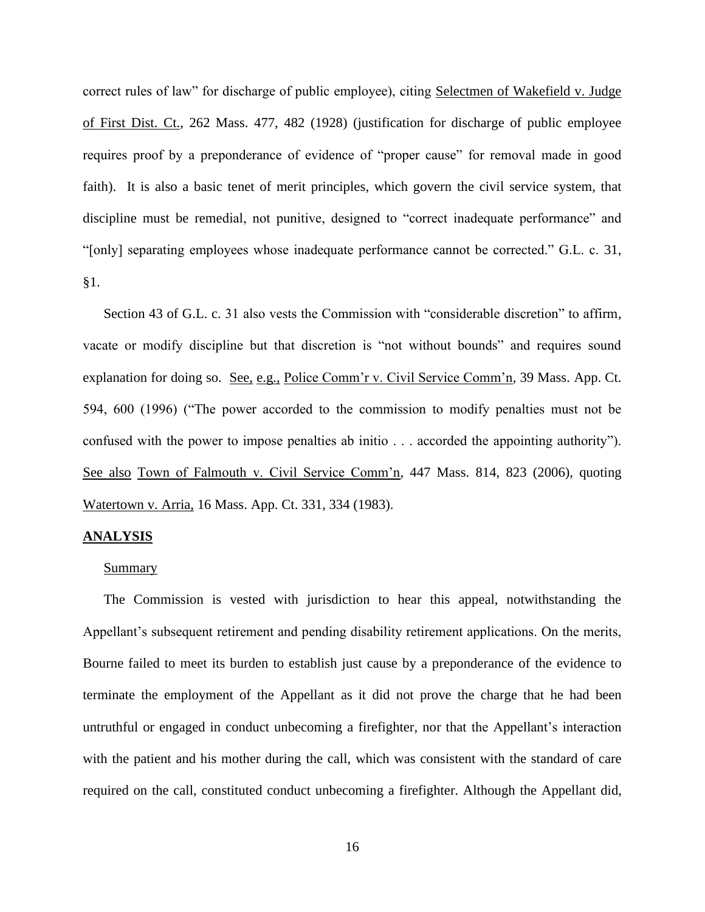correct rules of law" for discharge of public employee), citing Selectmen of Wakefield v. Judge of First Dist. Ct., 262 Mass. 477, 482 (1928) (justification for discharge of public employee requires proof by a preponderance of evidence of "proper cause" for removal made in good faith). It is also a basic tenet of merit principles, which govern the civil service system, that discipline must be remedial, not punitive, designed to "correct inadequate performance" and "[only] separating employees whose inadequate performance cannot be corrected." G.L. c. 31, §1.

Section 43 of G.L. c. 31 also vests the Commission with "considerable discretion" to affirm, vacate or modify discipline but that discretion is "not without bounds" and requires sound explanation for doing so. See, e.g., Police Comm'r v. Civil Service Comm'n, 39 Mass. App. Ct. 594, 600 (1996) ("The power accorded to the commission to modify penalties must not be confused with the power to impose penalties ab initio . . . accorded the appointing authority"). See also Town of Falmouth v. Civil Service Comm'n, 447 Mass. 814, 823 (2006), quoting Watertown v. Arria, 16 Mass. App. Ct. 331, 334 (1983).

#### **ANALYSIS**

#### **Summary**

The Commission is vested with jurisdiction to hear this appeal, notwithstanding the Appellant's subsequent retirement and pending disability retirement applications. On the merits, Bourne failed to meet its burden to establish just cause by a preponderance of the evidence to terminate the employment of the Appellant as it did not prove the charge that he had been untruthful or engaged in conduct unbecoming a firefighter, nor that the Appellant's interaction with the patient and his mother during the call, which was consistent with the standard of care required on the call, constituted conduct unbecoming a firefighter. Although the Appellant did,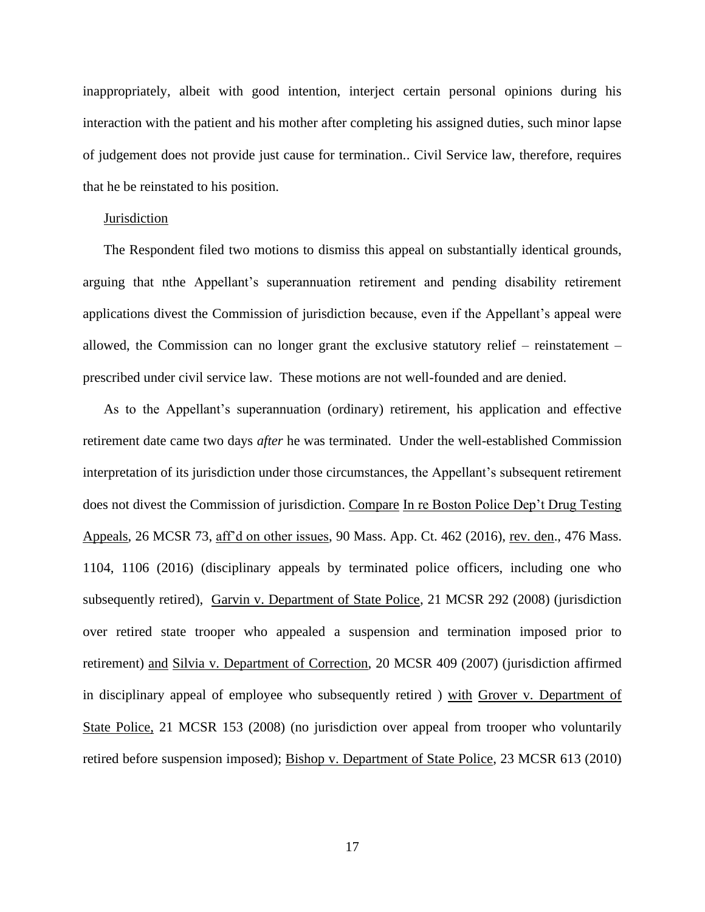inappropriately, albeit with good intention, interject certain personal opinions during his interaction with the patient and his mother after completing his assigned duties, such minor lapse of judgement does not provide just cause for termination.. Civil Service law, therefore, requires that he be reinstated to his position.

#### **Jurisdiction**

The Respondent filed two motions to dismiss this appeal on substantially identical grounds, arguing that nthe Appellant's superannuation retirement and pending disability retirement applications divest the Commission of jurisdiction because, even if the Appellant's appeal were allowed, the Commission can no longer grant the exclusive statutory relief – reinstatement – prescribed under civil service law. These motions are not well-founded and are denied.

As to the Appellant's superannuation (ordinary) retirement, his application and effective retirement date came two days *after* he was terminated. Under the well-established Commission interpretation of its jurisdiction under those circumstances, the Appellant's subsequent retirement does not divest the Commission of jurisdiction. Compare In re Boston Police Dep't Drug Testing Appeals, 26 MCSR 73, aff'd on other issues, 90 Mass. App. Ct. 462 (2016), rev. den., 476 Mass. 1104, 1106 (2016) (disciplinary appeals by terminated police officers, including one who subsequently retired), Garvin v. Department of State Police, 21 MCSR 292 (2008) (jurisdiction over retired state trooper who appealed a suspension and termination imposed prior to retirement) and Silvia v. Department of Correction, 20 MCSR 409 (2007) (jurisdiction affirmed in disciplinary appeal of employee who subsequently retired ) with Grover v. Department of State Police, 21 MCSR 153 (2008) (no jurisdiction over appeal from trooper who voluntarily retired before suspension imposed); Bishop v. Department of State Police, 23 MCSR 613 (2010)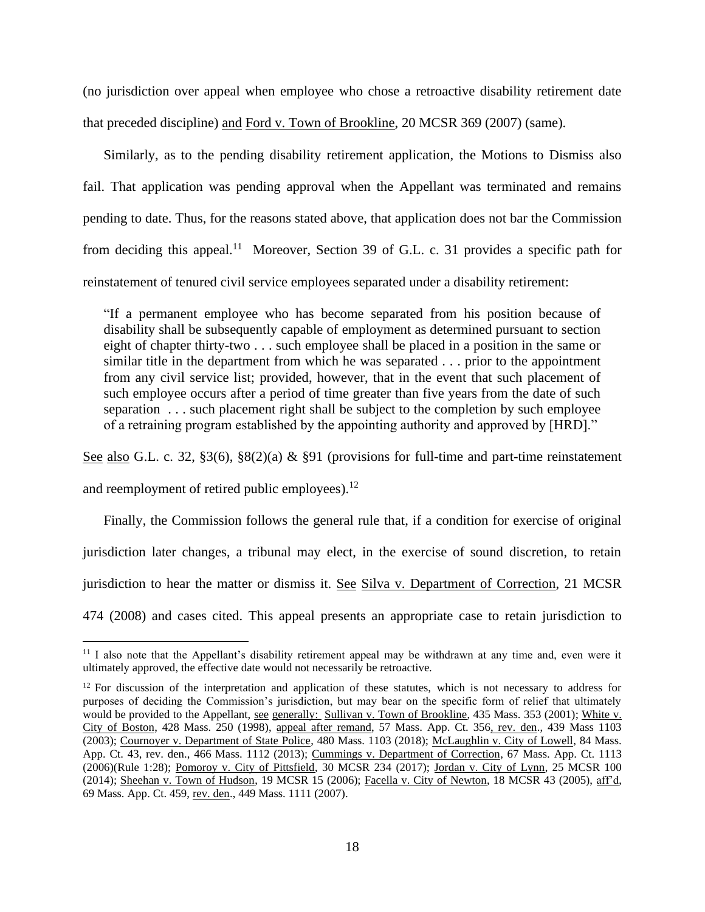(no jurisdiction over appeal when employee who chose a retroactive disability retirement date that preceded discipline) and Ford v. Town of Brookline, 20 MCSR 369 (2007) (same).

Similarly, as to the pending disability retirement application, the Motions to Dismiss also fail. That application was pending approval when the Appellant was terminated and remains pending to date. Thus, for the reasons stated above, that application does not bar the Commission from deciding this appeal.<sup>11</sup> Moreover, Section 39 of G.L. c. 31 provides a specific path for reinstatement of tenured civil service employees separated under a disability retirement:

"If a permanent employee who has become separated from his position because of disability shall be subsequently capable of employment as determined pursuant to section eight of chapter thirty-two . . . such employee shall be placed in a position in the same or similar title in the department from which he was separated . . . prior to the appointment from any civil service list; provided, however, that in the event that such placement of such employee occurs after a period of time greater than five years from the date of such separation . . . such placement right shall be subject to the completion by such employee of a retraining program established by the appointing authority and approved by [HRD]."

See also G.L. c. 32, §3(6), §8(2)(a) & §91 (provisions for full-time and part-time reinstatement

and reemployment of retired public employees). $^{12}$ 

Finally, the Commission follows the general rule that, if a condition for exercise of original jurisdiction later changes, a tribunal may elect, in the exercise of sound discretion, to retain jurisdiction to hear the matter or dismiss it. See Silva v. Department of Correction, 21 MCSR 474 (2008) and cases cited. This appeal presents an appropriate case to retain jurisdiction to

<sup>&</sup>lt;sup>11</sup> I also note that the Appellant's disability retirement appeal may be withdrawn at any time and, even were it ultimately approved, the effective date would not necessarily be retroactive.

<sup>&</sup>lt;sup>12</sup> For discussion of the interpretation and application of these statutes, which is not necessary to address for purposes of deciding the Commission's jurisdiction, but may bear on the specific form of relief that ultimately would be provided to the Appellant, see generally: Sullivan v. Town of Brookline, 435 Mass. 353 (2001); White v. City of Boston, 428 Mass. 250 (1998), appeal after remand, 57 Mass. App. Ct. 356, rev. den., 439 Mass 1103 (2003); Cournoyer v. Department of State Police, 480 Mass. 1103 (2018); McLaughlin v. City of Lowell, 84 Mass. App. Ct. 43, rev. den., 466 Mass. 1112 (2013); Cummings v. Department of Correction, 67 Mass. App. Ct. 1113 (2006)(Rule 1:28); Pomoroy v. City of Pittsfield, 30 MCSR 234 (2017); Jordan v. City of Lynn, 25 MCSR 100 (2014); Sheehan v. Town of Hudson, 19 MCSR 15 (2006); Facella v. City of Newton, 18 MCSR 43 (2005), aff'd, 69 Mass. App. Ct. 459, rev. den., 449 Mass. 1111 (2007).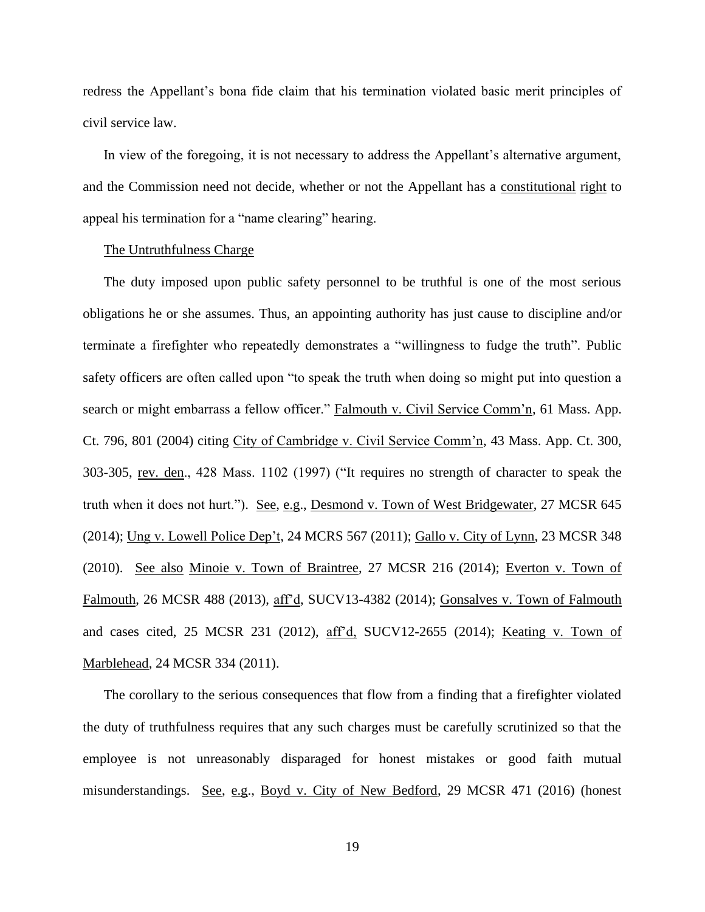redress the Appellant's bona fide claim that his termination violated basic merit principles of civil service law.

In view of the foregoing, it is not necessary to address the Appellant's alternative argument, and the Commission need not decide, whether or not the Appellant has a constitutional right to appeal his termination for a "name clearing" hearing.

## The Untruthfulness Charge

The duty imposed upon public safety personnel to be truthful is one of the most serious obligations he or she assumes. Thus, an appointing authority has just cause to discipline and/or terminate a firefighter who repeatedly demonstrates a "willingness to fudge the truth". Public safety officers are often called upon "to speak the truth when doing so might put into question a search or might embarrass a fellow officer." Falmouth v. Civil Service Comm'n, 61 Mass. App. Ct. 796, 801 (2004) citing City of Cambridge v. Civil Service Comm'n, 43 Mass. App. Ct. 300, 303-305, rev. den., 428 Mass. 1102 (1997) ("It requires no strength of character to speak the truth when it does not hurt."). See, e.g., Desmond v. Town of West Bridgewater, 27 MCSR 645 (2014); Ung v. Lowell Police Dep't, 24 MCRS 567 (2011); Gallo v. City of Lynn, 23 MCSR 348 (2010). See also Minoie v. Town of Braintree, 27 MCSR 216 (2014); Everton v. Town of Falmouth, 26 MCSR 488 (2013), aff'd, SUCV13-4382 (2014); Gonsalves v. Town of Falmouth and cases cited, 25 MCSR 231 (2012), aff'd, SUCV12-2655 (2014); Keating v. Town of Marblehead, 24 MCSR 334 (2011).

The corollary to the serious consequences that flow from a finding that a firefighter violated the duty of truthfulness requires that any such charges must be carefully scrutinized so that the employee is not unreasonably disparaged for honest mistakes or good faith mutual misunderstandings. See, e.g., Boyd v. City of New Bedford, 29 MCSR 471 (2016) (honest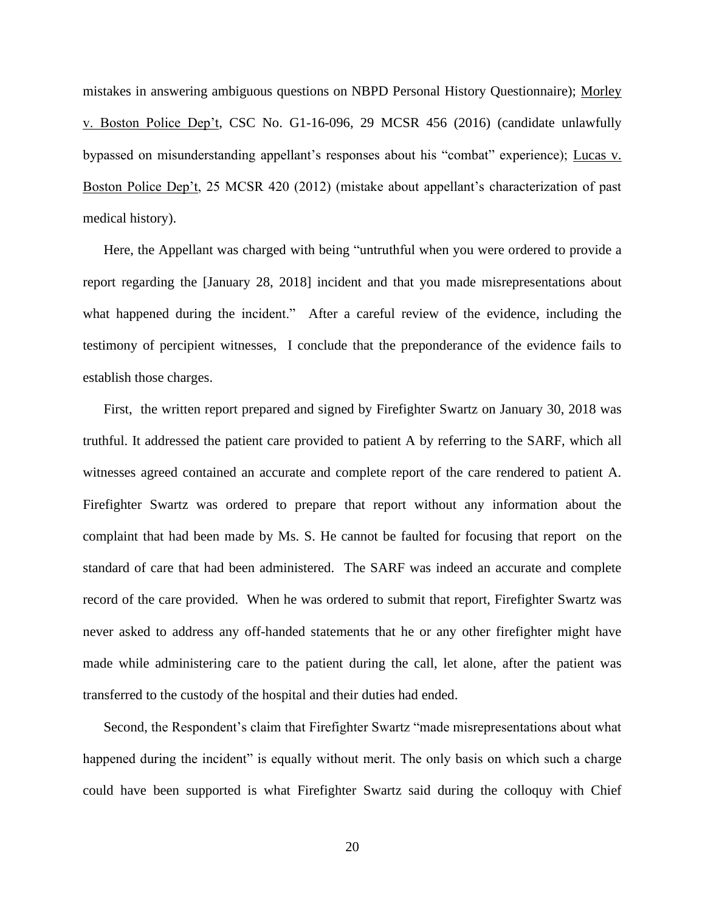mistakes in answering ambiguous questions on NBPD Personal History Questionnaire); Morley v. Boston Police Dep't, CSC No. G1-16-096, 29 MCSR 456 (2016) (candidate unlawfully bypassed on misunderstanding appellant's responses about his "combat" experience); Lucas v. Boston Police Dep't, 25 MCSR 420 (2012) (mistake about appellant's characterization of past medical history).

Here, the Appellant was charged with being "untruthful when you were ordered to provide a report regarding the [January 28, 2018] incident and that you made misrepresentations about what happened during the incident." After a careful review of the evidence, including the testimony of percipient witnesses, I conclude that the preponderance of the evidence fails to establish those charges.

First, the written report prepared and signed by Firefighter Swartz on January 30, 2018 was truthful. It addressed the patient care provided to patient A by referring to the SARF, which all witnesses agreed contained an accurate and complete report of the care rendered to patient A. Firefighter Swartz was ordered to prepare that report without any information about the complaint that had been made by Ms. S. He cannot be faulted for focusing that report on the standard of care that had been administered. The SARF was indeed an accurate and complete record of the care provided. When he was ordered to submit that report, Firefighter Swartz was never asked to address any off-handed statements that he or any other firefighter might have made while administering care to the patient during the call, let alone, after the patient was transferred to the custody of the hospital and their duties had ended.

Second, the Respondent's claim that Firefighter Swartz "made misrepresentations about what happened during the incident" is equally without merit. The only basis on which such a charge could have been supported is what Firefighter Swartz said during the colloquy with Chief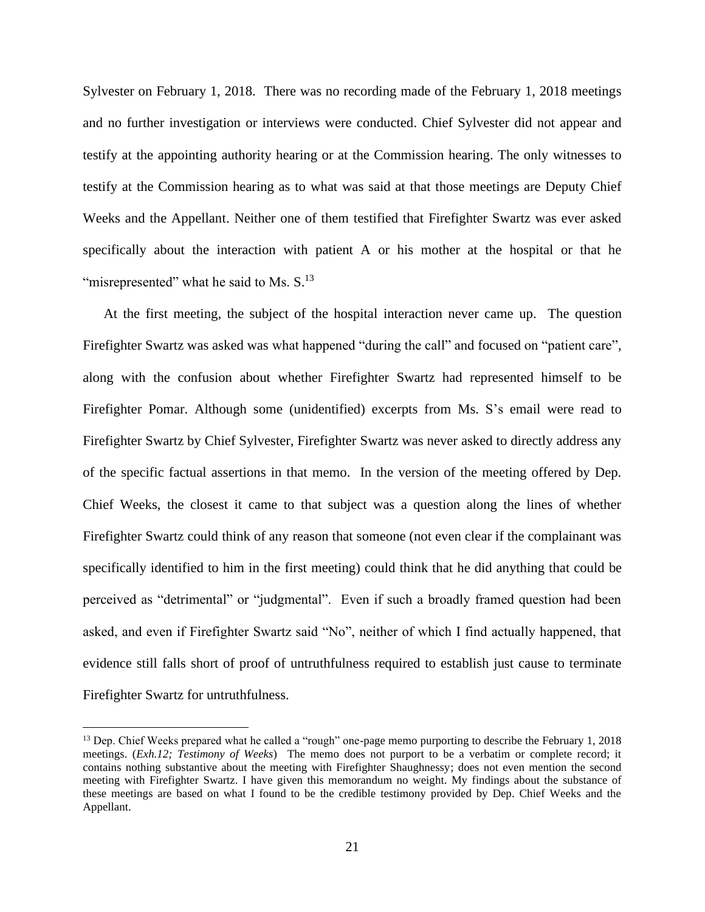Sylvester on February 1, 2018. There was no recording made of the February 1, 2018 meetings and no further investigation or interviews were conducted. Chief Sylvester did not appear and testify at the appointing authority hearing or at the Commission hearing. The only witnesses to testify at the Commission hearing as to what was said at that those meetings are Deputy Chief Weeks and the Appellant. Neither one of them testified that Firefighter Swartz was ever asked specifically about the interaction with patient A or his mother at the hospital or that he "misrepresented" what he said to Ms.  $S<sup>13</sup>$ 

At the first meeting, the subject of the hospital interaction never came up. The question Firefighter Swartz was asked was what happened "during the call" and focused on "patient care", along with the confusion about whether Firefighter Swartz had represented himself to be Firefighter Pomar. Although some (unidentified) excerpts from Ms. S's email were read to Firefighter Swartz by Chief Sylvester, Firefighter Swartz was never asked to directly address any of the specific factual assertions in that memo. In the version of the meeting offered by Dep. Chief Weeks, the closest it came to that subject was a question along the lines of whether Firefighter Swartz could think of any reason that someone (not even clear if the complainant was specifically identified to him in the first meeting) could think that he did anything that could be perceived as "detrimental" or "judgmental". Even if such a broadly framed question had been asked, and even if Firefighter Swartz said "No", neither of which I find actually happened, that evidence still falls short of proof of untruthfulness required to establish just cause to terminate Firefighter Swartz for untruthfulness.

<sup>&</sup>lt;sup>13</sup> Dep. Chief Weeks prepared what he called a "rough" one-page memo purporting to describe the February 1, 2018 meetings. (*Exh.12; Testimony of Weeks*) The memo does not purport to be a verbatim or complete record; it contains nothing substantive about the meeting with Firefighter Shaughnessy; does not even mention the second meeting with Firefighter Swartz. I have given this memorandum no weight. My findings about the substance of these meetings are based on what I found to be the credible testimony provided by Dep. Chief Weeks and the Appellant.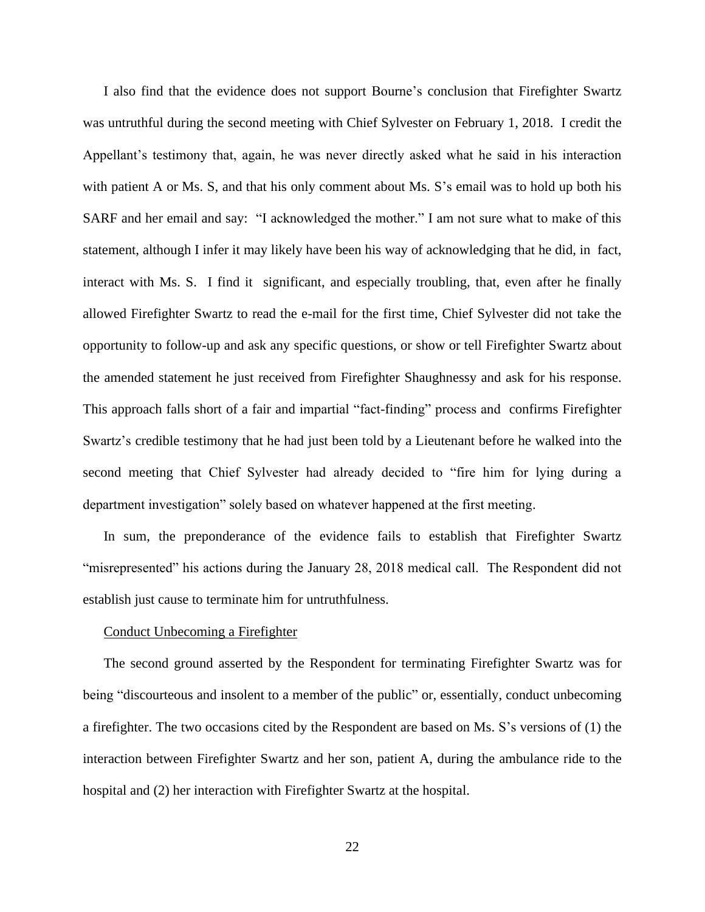I also find that the evidence does not support Bourne's conclusion that Firefighter Swartz was untruthful during the second meeting with Chief Sylvester on February 1, 2018. I credit the Appellant's testimony that, again, he was never directly asked what he said in his interaction with patient A or Ms. S, and that his only comment about Ms. S's email was to hold up both his SARF and her email and say: "I acknowledged the mother." I am not sure what to make of this statement, although I infer it may likely have been his way of acknowledging that he did, in fact, interact with Ms. S. I find it significant, and especially troubling, that, even after he finally allowed Firefighter Swartz to read the e-mail for the first time, Chief Sylvester did not take the opportunity to follow-up and ask any specific questions, or show or tell Firefighter Swartz about the amended statement he just received from Firefighter Shaughnessy and ask for his response. This approach falls short of a fair and impartial "fact-finding" process and confirms Firefighter Swartz's credible testimony that he had just been told by a Lieutenant before he walked into the second meeting that Chief Sylvester had already decided to "fire him for lying during a department investigation" solely based on whatever happened at the first meeting.

In sum, the preponderance of the evidence fails to establish that Firefighter Swartz "misrepresented" his actions during the January 28, 2018 medical call. The Respondent did not establish just cause to terminate him for untruthfulness.

## Conduct Unbecoming a Firefighter

The second ground asserted by the Respondent for terminating Firefighter Swartz was for being "discourteous and insolent to a member of the public" or, essentially, conduct unbecoming a firefighter. The two occasions cited by the Respondent are based on Ms. S's versions of (1) the interaction between Firefighter Swartz and her son, patient A, during the ambulance ride to the hospital and (2) her interaction with Firefighter Swartz at the hospital.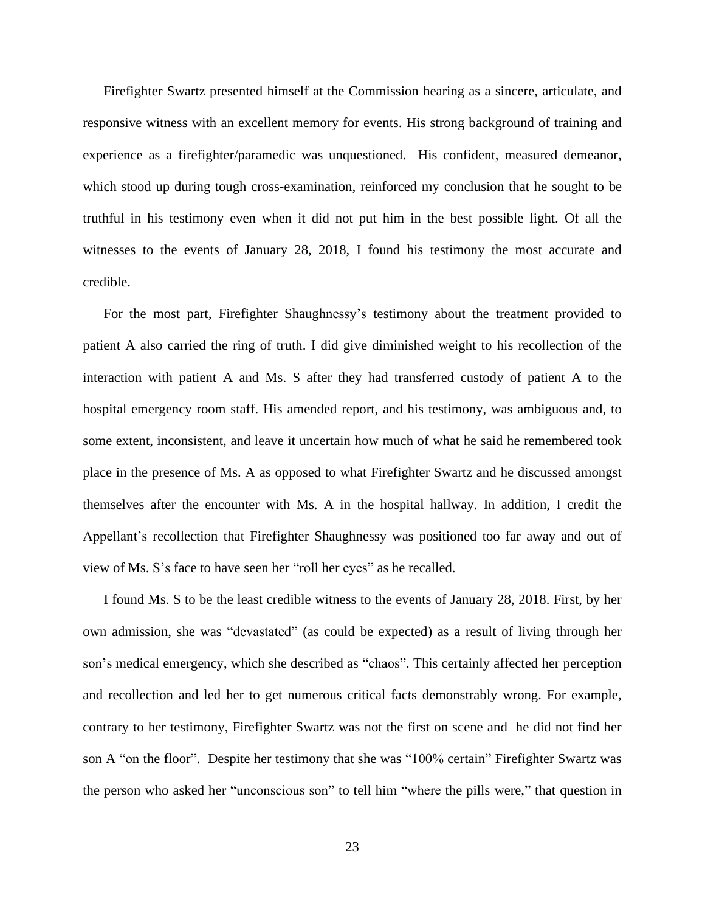Firefighter Swartz presented himself at the Commission hearing as a sincere, articulate, and responsive witness with an excellent memory for events. His strong background of training and experience as a firefighter/paramedic was unquestioned. His confident, measured demeanor, which stood up during tough cross-examination, reinforced my conclusion that he sought to be truthful in his testimony even when it did not put him in the best possible light. Of all the witnesses to the events of January 28, 2018, I found his testimony the most accurate and credible.

For the most part, Firefighter Shaughnessy's testimony about the treatment provided to patient A also carried the ring of truth. I did give diminished weight to his recollection of the interaction with patient A and Ms. S after they had transferred custody of patient A to the hospital emergency room staff. His amended report, and his testimony, was ambiguous and, to some extent, inconsistent, and leave it uncertain how much of what he said he remembered took place in the presence of Ms. A as opposed to what Firefighter Swartz and he discussed amongst themselves after the encounter with Ms. A in the hospital hallway. In addition, I credit the Appellant's recollection that Firefighter Shaughnessy was positioned too far away and out of view of Ms. S's face to have seen her "roll her eyes" as he recalled.

I found Ms. S to be the least credible witness to the events of January 28, 2018. First, by her own admission, she was "devastated" (as could be expected) as a result of living through her son's medical emergency, which she described as "chaos". This certainly affected her perception and recollection and led her to get numerous critical facts demonstrably wrong. For example, contrary to her testimony, Firefighter Swartz was not the first on scene and he did not find her son A "on the floor". Despite her testimony that she was "100% certain" Firefighter Swartz was the person who asked her "unconscious son" to tell him "where the pills were," that question in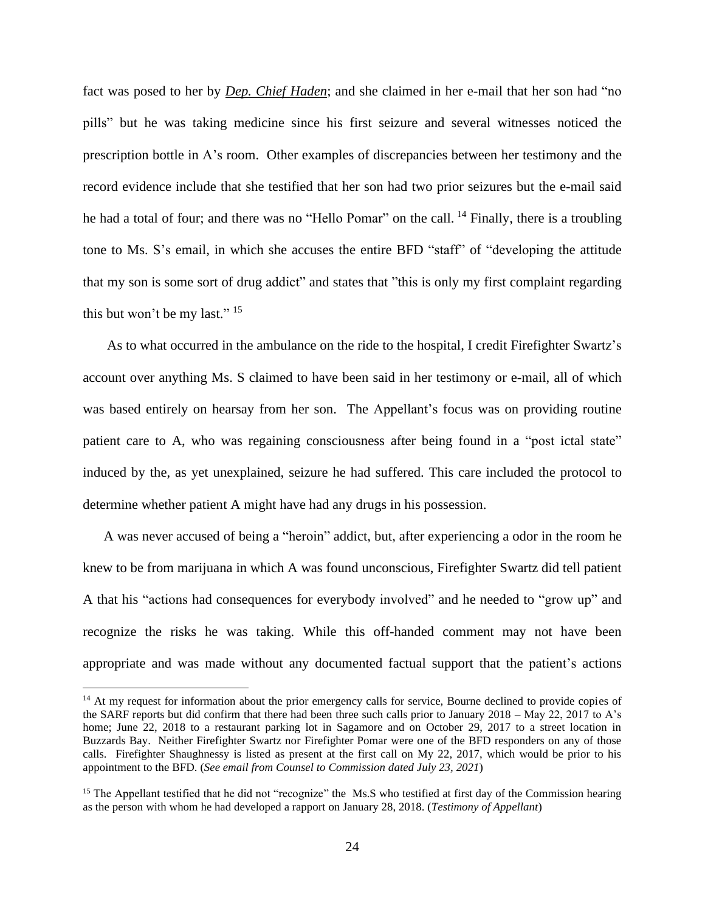fact was posed to her by *Dep. Chief Haden*; and she claimed in her e-mail that her son had "no pills" but he was taking medicine since his first seizure and several witnesses noticed the prescription bottle in A's room. Other examples of discrepancies between her testimony and the record evidence include that she testified that her son had two prior seizures but the e-mail said he had a total of four; and there was no "Hello Pomar" on the call. <sup>14</sup> Finally, there is a troubling tone to Ms. S's email, in which she accuses the entire BFD "staff" of "developing the attitude that my son is some sort of drug addict" and states that "this is only my first complaint regarding this but won't be my last."  $15$ 

As to what occurred in the ambulance on the ride to the hospital, I credit Firefighter Swartz's account over anything Ms. S claimed to have been said in her testimony or e-mail, all of which was based entirely on hearsay from her son. The Appellant's focus was on providing routine patient care to A, who was regaining consciousness after being found in a "post ictal state" induced by the, as yet unexplained, seizure he had suffered. This care included the protocol to determine whether patient A might have had any drugs in his possession.

A was never accused of being a "heroin" addict, but, after experiencing a odor in the room he knew to be from marijuana in which A was found unconscious, Firefighter Swartz did tell patient A that his "actions had consequences for everybody involved" and he needed to "grow up" and recognize the risks he was taking. While this off-handed comment may not have been appropriate and was made without any documented factual support that the patient's actions

<sup>&</sup>lt;sup>14</sup> At my request for information about the prior emergency calls for service, Bourne declined to provide copies of the SARF reports but did confirm that there had been three such calls prior to January 2018 – May 22, 2017 to A's home; June 22, 2018 to a restaurant parking lot in Sagamore and on October 29, 2017 to a street location in Buzzards Bay. Neither Firefighter Swartz nor Firefighter Pomar were one of the BFD responders on any of those calls. Firefighter Shaughnessy is listed as present at the first call on My 22, 2017, which would be prior to his appointment to the BFD. (*See email from Counsel to Commission dated July 23, 2021*)

<sup>&</sup>lt;sup>15</sup> The Appellant testified that he did not "recognize" the Ms.S who testified at first day of the Commission hearing as the person with whom he had developed a rapport on January 28, 2018. (*Testimony of Appellant*)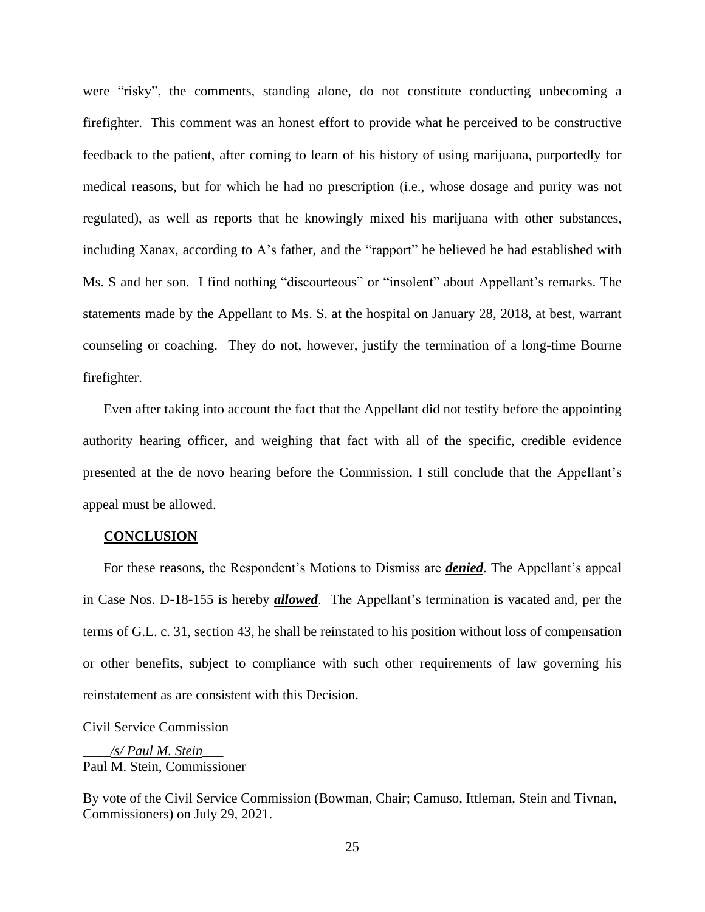were "risky", the comments, standing alone, do not constitute conducting unbecoming a firefighter. This comment was an honest effort to provide what he perceived to be constructive feedback to the patient, after coming to learn of his history of using marijuana, purportedly for medical reasons, but for which he had no prescription (i.e., whose dosage and purity was not regulated), as well as reports that he knowingly mixed his marijuana with other substances, including Xanax, according to A's father, and the "rapport" he believed he had established with Ms. S and her son. I find nothing "discourteous" or "insolent" about Appellant's remarks. The statements made by the Appellant to Ms. S. at the hospital on January 28, 2018, at best, warrant counseling or coaching. They do not, however, justify the termination of a long-time Bourne firefighter.

Even after taking into account the fact that the Appellant did not testify before the appointing authority hearing officer, and weighing that fact with all of the specific, credible evidence presented at the de novo hearing before the Commission, I still conclude that the Appellant's appeal must be allowed.

#### **CONCLUSION**

For these reasons, the Respondent's Motions to Dismiss are *denied*. The Appellant's appeal in Case Nos. D-18-155 is hereby *allowed*. The Appellant's termination is vacated and, per the terms of G.L. c. 31, section 43, he shall be reinstated to his position without loss of compensation or other benefits, subject to compliance with such other requirements of law governing his reinstatement as are consistent with this Decision.

Civil Service Commission

\_\_\_\_*/s/ Paul M. Stein*\_\_\_ Paul M. Stein, Commissioner

By vote of the Civil Service Commission (Bowman, Chair; Camuso, Ittleman, Stein and Tivnan, Commissioners) on July 29, 2021.